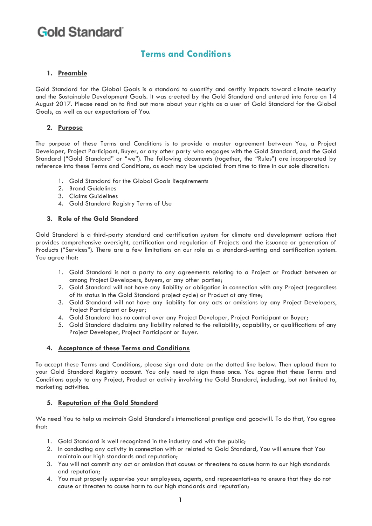# **Terms and Conditions**

### **1. Preamble**

Gold Standard for the Global Goals is a standard to quantify and certify impacts toward climate security and the Sustainable Development Goals. It was created by the Gold Standard and entered into force on 14 August 2017. Please read on to find out more about your rights as a user of Gold Standard for the Global Goals, as well as our expectations of You.

### **2. Purpose**

The purpose of these Terms and Conditions is to provide a master agreement between You, a Project Developer, Project Participant, Buyer, or any other party who engages with the Gold Standard, and the Gold Standard ("Gold Standard" or "we"). The following documents (together, the "Rules") are incorporated by reference into these Terms and Conditions, as each may be updated from time to time in our sole discretion:

- 1. Gold Standard for the Global Goals Requirements
- 2. Brand Guidelines
- 3. Claims Guidelines
- 4. Gold Standard Registry Terms of Use

#### **3. Role of the Gold Standard**

Gold Standard is a third-party standard and certification system for climate and development actions that provides comprehensive oversight, certification and regulation of Projects and the issuance or generation of Products ("Services"). There are a few limitations on our role as a standard-setting and certification system. You agree that:

- 1. Gold Standard is not a party to any agreements relating to a Project or Product between or among Project Developers, Buyers, or any other parties;
- 2. Gold Standard will not have any liability or obligation in connection with any Project (regardless of its status in the Gold Standard project cycle) or Product at any time;
- 3. Gold Standard will not have any liability for any acts or omissions by any Project Developers, Project Participant or Buyer;
- 4. Gold Standard has no control over any Project Developer, Project Participant or Buyer;
- 5. Gold Standard disclaims any liability related to the reliability, capability, or qualifications of any Project Developer, Project Participant or Buyer.

#### **4. Acceptance of these Terms and Conditions**

To accept these Terms and Conditions, please sign and date on the dotted line below. Then upload them to your Gold Standard Registry account. You only need to sign these once. You agree that these Terms and Conditions apply to any Project, Product or activity involving the Gold Standard, including, but not limited to, marketing activities.

#### **5. Reputation of the Gold Standard**

We need You to help us maintain Gold Standard's international prestige and goodwill. To do that, You agree that:

- 1. Gold Standard is well recognized in the industry and with the public;
- 2. In conducting any activity in connection with or related to Gold Standard, You will ensure that You maintain our high standards and reputation;
- 3. You will not commit any act or omission that causes or threatens to cause harm to our high standards and reputation;
- 4. You must properly supervise your employees, agents, and representatives to ensure that they do not cause or threaten to cause harm to our high standards and reputation;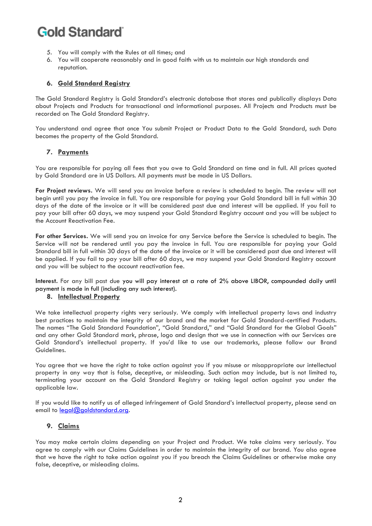- 5. You will comply with the Rules at all times; and
- 6. You will cooperate reasonably and in good faith with us to maintain our high standards and reputation.

#### **6. Gold Standard Registry**

The Gold Standard Registry is Gold Standard's electronic database that stores and publically displays Data about Projects and Products for transactional and informational purposes. All Projects and Products must be recorded on The Gold Standard Registry.

You understand and agree that once You submit Project or Product Data to the Gold Standard, such Data becomes the property of the Gold Standard.

#### **7. Payments**

You are responsible for paying all fees that you owe to Gold Standard on time and in full. All prices quoted by Gold Standard are in US Dollars. All payments must be made in US Dollars.

**For Project reviews.** We will send you an invoice before a review is scheduled to begin. The review will not begin until you pay the invoice in full. You are responsible for paying your Gold Standard bill in full within 30 days of the date of the invoice or it will be considered past due and interest will be applied. If you fail to pay your bill after 60 days, we may suspend your Gold Standard Registry account and you will be subject to the Account Reactivation Fee.

**For other Services.** We will send you an invoice for any Service before the Service is scheduled to begin. The Service will not be rendered until you pay the invoice in full. You are responsible for paying your Gold Standard bill in full within 30 days of the date of the invoice or it will be considered past due and interest will be applied. If you fail to pay your bill after 60 days, we may suspend your Gold Standard Registry account and you will be subject to the account reactivation fee.

**Interest.** For any bill past due you will pay interest at a rate of 2% above LIBOR, compounded daily until payment is made in full (including any such interest).

#### **8. Intellectual Property**

We take intellectual property rights very seriously. We comply with intellectual property laws and industry best practices to maintain the integrity of our brand and the market for Gold Standard-certified Products. The names "The Gold Standard Foundation", "Gold Standard," and "Gold Standard for the Global Goals" and any other Gold Standard mark, phrase, logo and design that we use in connection with our Services are Gold Standard's intellectual property. If you'd like to use our trademarks, please follow our Brand Guidelines.

You agree that we have the right to take action against you if you misuse or misappropriate our intellectual property in any way that is false, deceptive, or misleading. Such action may include, but is not limited to, terminating your account on the Gold Standard Registry or taking legal action against you under the applicable law.

If you would like to notify us of alleged infringement of Gold Standard's intellectual property, please send an email to [legal@goldstandard.org.](mailto:legal@goldstandard.org)

#### **9. Claims**

You may make certain claims depending on your Project and Product. We take claims very seriously. You agree to comply with our Claims Guidelines in order to maintain the integrity of our brand. You also agree that we have the right to take action against you if you breach the Claims Guidelines or otherwise make any false, deceptive, or misleading claims.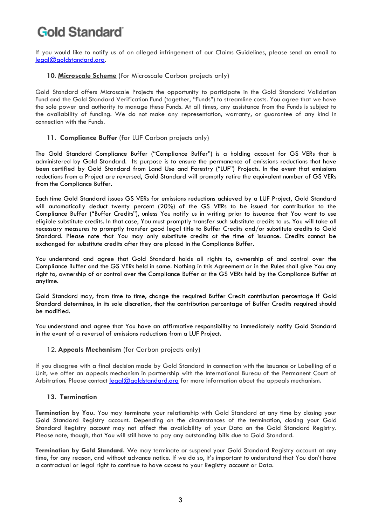If you would like to notify us of an alleged infringement of our Claims Guidelines, please send an email to [legal@goldstandard.org.](mailto:legal@goldstandard.org)

### **10. Microscale Scheme** (for Microscale Carbon projects only)

Gold Standard offers Microscale Projects the opportunity to participate in the Gold Standard Validation Fund and the Gold Standard Verification Fund (together, "Funds") to streamline costs. You agree that we have the sole power and authority to manage these Funds. At all times, any assistance from the Funds is subject to the availability of funding. We do not make any representation, warranty, or guarantee of any kind in connection with the Funds.

## **11. Compliance Buffer** (for LUF Carbon projects only)

The Gold Standard Compliance Buffer ("Compliance Buffer") is a holding account for GS VERs that is administered by Gold Standard. Its purpose is to ensure the permanence of emissions reductions that have been certified by Gold Standard from Land Use and Forestry ("LUF") Projects. In the event that emissions reductions from a Project are reversed, Gold Standard will promptly retire the equivalent number of GS VERs from the Compliance Buffer.

Each time Gold Standard issues GS VERs for emissions reductions achieved by a LUF Project, Gold Standard will automatically deduct twenty percent (20%) of the GS VERs to be issued for contribution to the Compliance Buffer ("Buffer Credits"), unless You notify us in writing prior to issuance that You want to use eligible substitute credits. In that case, You must promptly transfer such substitute credits to us. You will take all necessary measures to promptly transfer good legal title to Buffer Credits and/or substitute credits to Gold Standard. Please note that You may only substitute credits at the time of issuance. Credits cannot be exchanged for substitute credits after they are placed in the Compliance Buffer.

You understand and agree that Gold Standard holds all rights to, ownership of and control over the Compliance Buffer and the GS VERs held in same. Nothing in this Agreement or in the Rules shall give You any right to, ownership of or control over the Compliance Buffer or the GS VERs held by the Compliance Buffer at anytime.

Gold Standard may, from time to time, change the required Buffer Credit contribution percentage if Gold Standard determines, in its sole discretion, that the contribution percentage of Buffer Credits required should be modified.

You understand and agree that You have an affirmative responsibility to immediately notify Gold Standard in the event of a reversal of emissions reductions from a LUF Project.

### 12. **Appeals Mechanism** (for Carbon projects only)

If you disagree with a final decision made by Gold Standard in connection with the issuance or Labelling of a Unit, we offer an appeals mechanism in partnership with the International Bureau of the Permanent Court of Arbitration. Please contact [legal@goldstandard.org](mailto:legal@goldstandard.org) for more information about the appeals mechanism.

### **13. Termination**

**Termination by You.** You may terminate your relationship with Gold Standard at any time by closing your Gold Standard Registry account. Depending on the circumstances of the termination, closing your Gold Standard Registry account may not affect the availability of your Data on the Gold Standard Registry. Please note, though, that You will still have to pay any outstanding bills due to Gold Standard.

**Termination by Gold Standard.** We may terminate or suspend your Gold Standard Registry account at any time, for any reason, and without advance notice. If we do so, it's important to understand that You don't have a contractual or legal right to continue to have access to your Registry account or Data.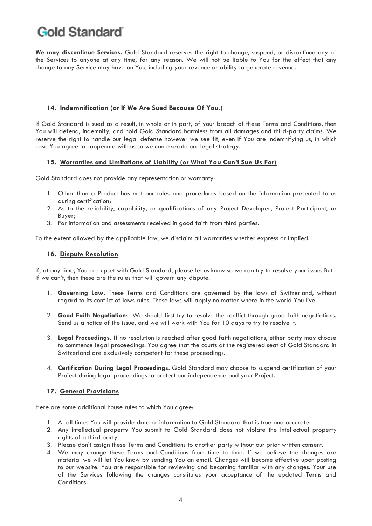**We may discontinue Services.** Gold Standard reserves the right to change, suspend, or discontinue any of the Services to anyone at any time, for any reason. We will not be liable to You for the effect that any change to any Service may have on You, including your revenue or ability to generate revenue.

### **14. Indemnification (or If We Are Sued Because Of You.)**

If Gold Standard is sued as a result, in whole or in part, of your breach of these Terms and Conditions, then You will defend, indemnify, and hold Gold Standard harmless from all damages and third-party claims. We reserve the right to handle our legal defense however we see fit, even if You are indemnifying us, in which case You agree to cooperate with us so we can execute our legal strategy.

### **15. Warranties and Limitations of Liability (or What You Can't Sue Us For)**

Gold Standard does not provide any representation or warranty:

- 1. Other than a Product has met our rules and procedures based on the information presented to us during certification;
- 2. As to the reliability, capability, or qualifications of any Project Developer, Project Participant, or Buyer;
- 3. For information and assessments received in good faith from third parties.

To the extent allowed by the applicable law, we disclaim all warranties whether express or implied.

#### **16. Dispute Resolution**

If, at any time, You are upset with Gold Standard, please let us know so we can try to resolve your issue. But if we can't, then these are the rules that will govern any dispute:

- 1. **Governing Law.** These Terms and Conditions are governed by the laws of Switzerland, without regard to its conflict of laws rules. These laws will apply no matter where in the world You live.
- 2. **Good Faith Negotiation**s. We should first try to resolve the conflict through good faith negotiations. Send us a notice of the issue, and we will work with You for 10 days to try to resolve it.
- 3. **Legal Proceedings.** If no resolution is reached after good faith negotiations, either party may choose to commence legal proceedings. You agree that the courts at the registered seat of Gold Standard in Switzerland are exclusively competent for these proceedings.
- 4. **Certification During Legal Proceedings**. Gold Standard may choose to suspend certification of your Project during legal proceedings to protect our independence and your Project.

#### **17. General Provisions**

Here are some additional house rules to which You agree:

- 1. At all times You will provide data or information to Gold Standard that is true and accurate.
- 2. Any intellectual property You submit to Gold Standard does not violate the intellectual property rights of a third party.
- 3. Please don't assign these Terms and Conditions to another party without our prior written consent.
- 4. We may change these Terms and Conditions from time to time. If we believe the changes are material we will let You know by sending You an email. Changes will become effective upon posting to our website. You are responsible for reviewing and becoming familiar with any changes. Your use of the Services following the changes constitutes your acceptance of the updated Terms and Conditions.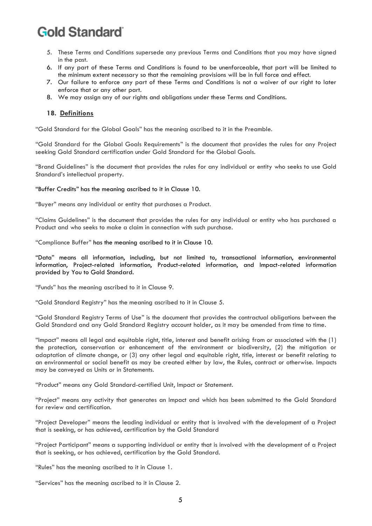- 5. These Terms and Conditions supersede any previous Terms and Conditions that you may have signed in the past.
- 6. If any part of these Terms and Conditions is found to be unenforceable, that part will be limited to the minimum extent necessary so that the remaining provisions will be in full force and effect.
- 7. Our failure to enforce any part of these Terms and Conditions is not a waiver of our right to later enforce that or any other part.
- 8. We may assign any of our rights and obligations under these Terms and Conditions.

### **18. Definitions**

"Gold Standard for the Global Goals" has the meaning ascribed to it in the Preamble.

"Gold Standard for the Global Goals Requirements" is the document that provides the rules for any Project seeking Gold Standard certification under Gold Standard for the Global Goals.

"Brand Guidelines" is the document that provides the rules for any individual or entity who seeks to use Gold Standard's intellectual property.

"Buffer Credits" has the meaning ascribed to it in Clause 10.

"Buyer" means any individual or entity that purchases a Product.

"Claims Guidelines" is the document that provides the rules for any individual or entity who has purchased a Product and who seeks to make a claim in connection with such purchase.

"Compliance Buffer" has the meaning ascribed to it in Clause 10.

"Data" means all information, including, but not limited to, transactional information, environmental information, Project-related information, Product-related information, and Impact-related information provided by You to Gold Standard.

"Funds" has the meaning ascribed to it in Clause 9.

"Gold Standard Registry" has the meaning ascribed to it in Clause 5.

"Gold Standard Registry Terms of Use" is the document that provides the contractual obligations between the Gold Standard and any Gold Standard Registry account holder, as it may be amended from time to time.

"Impact" means all legal and equitable right, title, interest and benefit arising from or associated with the (1) the protection, conservation or enhancement of the environment or biodiversity, (2) the mitigation or adaptation of climate change, or (3) any other legal and equitable right, title, interest or benefit relating to an environmental or social benefit as may be created either by law, the Rules, contract or otherwise. Impacts may be conveyed as Units or in Statements.

"Product" means any Gold Standard-certified Unit, Impact or Statement.

"Project" means any activity that generates an Impact and which has been submitted to the Gold Standard for review and certification.

"Project Developer" means the leading individual or entity that is involved with the development of a Project that is seeking, or has achieved, certification by the Gold Standard

"Project Participant" means a supporting individual or entity that is involved with the development of a Project that is seeking, or has achieved, certification by the Gold Standard.

"Rules" has the meaning ascribed to it in Clause 1.

"Services" has the meaning ascribed to it in Clause 2.